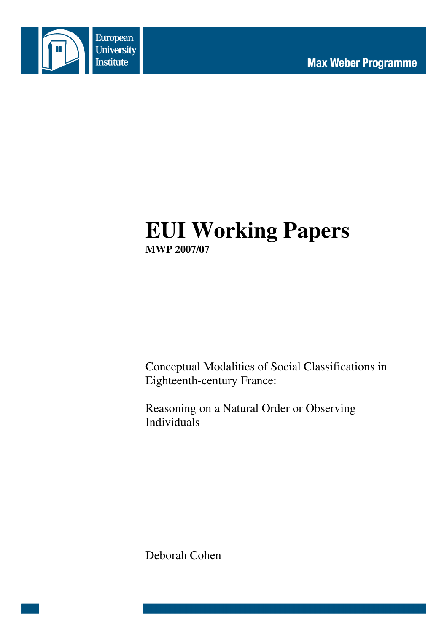



# **EUI Working Papers MWP 2007/07**

Conceptual Modalities of Social Classifications in Eighteenth-century France:

Reasoning on a Natural Order or Observing Individuals

Deborah Cohen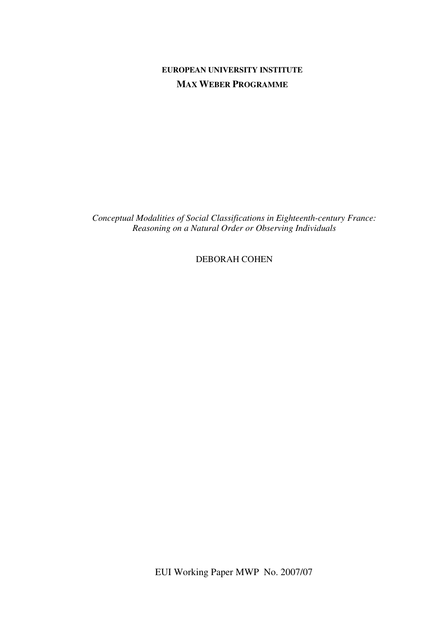## **EUROPEAN UNIVERSITY INSTITUTE MAX WEBER PROGRAMME**

*Conceptual Modalities of Social Classifications in Eighteenth-century France: Reasoning on a Natural Order or Observing Individuals* 

DEBORAH COHEN

EUI Working Paper MWP No. 2007/07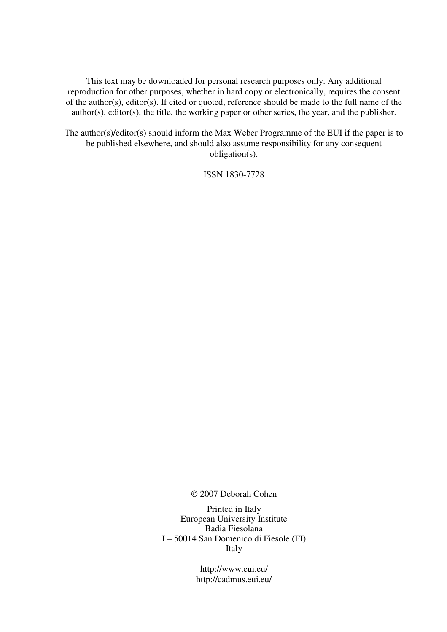This text may be downloaded for personal research purposes only. Any additional reproduction for other purposes, whether in hard copy or electronically, requires the consent of the author(s), editor(s). If cited or quoted, reference should be made to the full name of the author(s), editor(s), the title, the working paper or other series, the year, and the publisher.

The author(s)/editor(s) should inform the Max Weber Programme of the EUI if the paper is to be published elsewhere, and should also assume responsibility for any consequent obligation(s).

ISSN 1830-7728

© 2007 Deborah Cohen

Printed in Italy European University Institute Badia Fiesolana I – 50014 San Domenico di Fiesole (FI) Italy

> http://www.eui.eu/ http://cadmus.eui.eu/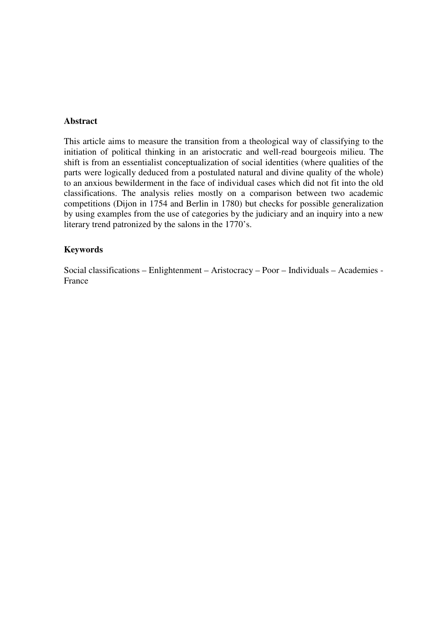#### **Abstract**

This article aims to measure the transition from a theological way of classifying to the initiation of political thinking in an aristocratic and well-read bourgeois milieu. The shift is from an essentialist conceptualization of social identities (where qualities of the parts were logically deduced from a postulated natural and divine quality of the whole) to an anxious bewilderment in the face of individual cases which did not fit into the old classifications. The analysis relies mostly on a comparison between two academic competitions (Dijon in 1754 and Berlin in 1780) but checks for possible generalization by using examples from the use of categories by the judiciary and an inquiry into a new literary trend patronized by the salons in the 1770's.

#### **Keywords**

Social classifications – Enlightenment – Aristocracy – Poor – Individuals – Academies - France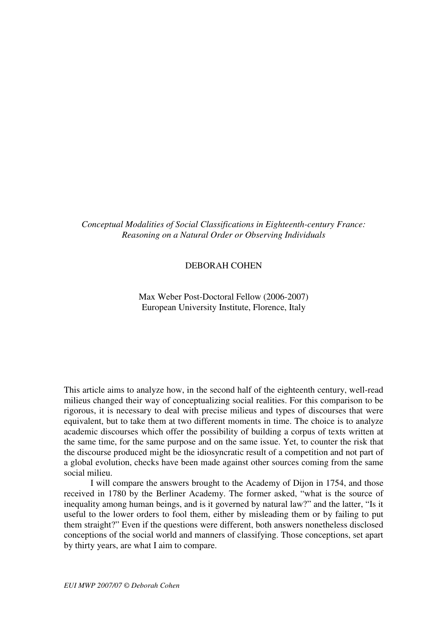*Conceptual Modalities of Social Classifications in Eighteenth-century France: Reasoning on a Natural Order or Observing Individuals* 

#### DEBORAH COHEN

Max Weber Post-Doctoral Fellow (2006-2007) European University Institute, Florence, Italy

This article aims to analyze how, in the second half of the eighteenth century, well-read milieus changed their way of conceptualizing social realities. For this comparison to be rigorous, it is necessary to deal with precise milieus and types of discourses that were equivalent, but to take them at two different moments in time. The choice is to analyze academic discourses which offer the possibility of building a corpus of texts written at the same time, for the same purpose and on the same issue. Yet, to counter the risk that the discourse produced might be the idiosyncratic result of a competition and not part of a global evolution, checks have been made against other sources coming from the same social milieu.

I will compare the answers brought to the Academy of Dijon in 1754, and those received in 1780 by the Berliner Academy. The former asked, "what is the source of inequality among human beings, and is it governed by natural law?" and the latter, "Is it useful to the lower orders to fool them, either by misleading them or by failing to put them straight?" Even if the questions were different, both answers nonetheless disclosed conceptions of the social world and manners of classifying. Those conceptions, set apart by thirty years, are what I aim to compare.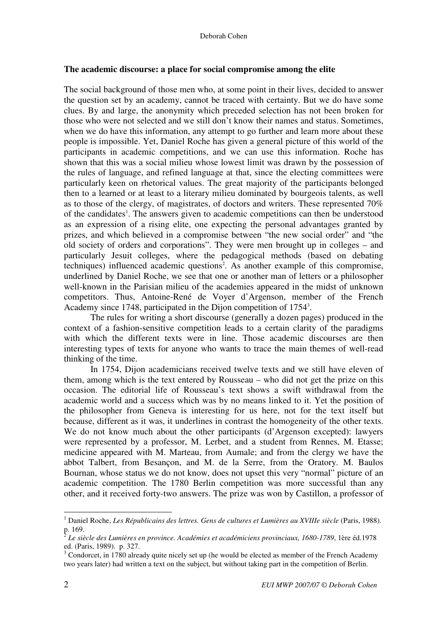#### **The academic discourse: a place for social compromise among the elite**

The social background of those men who, at some point in their lives, decided to answer the question set by an academy, cannot be traced with certainty. But we do have some clues. By and large, the anonymity which preceded selection has not been broken for those who were not selected and we still don't know their names and status. Sometimes, when we do have this information, any attempt to go further and learn more about these people is impossible. Yet, Daniel Roche has given a general picture of this world of the participants in academic competitions, and we can use this information. Roche has shown that this was a social milieu whose lowest limit was drawn by the possession of the rules of language, and refined language at that, since the electing committees were particularly keen on rhetorical values. The great majority of the participants belonged then to a learned or at least to a literary milieu dominated by bourgeois talents, as well as to those of the clergy, of magistrates, of doctors and writers. These represented 70% of the candidates<sup>1</sup>. The answers given to academic competitions can then be understood as an expression of a rising elite, one expecting the personal advantages granted by prizes, and which believed in a compromise between "the new social order" and "the old society of orders and corporations". They were men brought up in colleges – and particularly Jesuit colleges, where the pedagogical methods (based on debating techniques) influenced academic questions<sup>2</sup>. As another example of this compromise, underlined by Daniel Roche, we see that one or another man of letters or a philosopher well-known in the Parisian milieu of the academies appeared in the midst of unknown competitors. Thus, Antoine-René de Voyer d'Argenson, member of the French Academy since 1748, participated in the Dijon competition of 1754<sup>3</sup>.

The rules for writing a short discourse (generally a dozen pages) produced in the context of a fashion-sensitive competition leads to a certain clarity of the paradigms with which the different texts were in line. Those academic discourses are then interesting types of texts for anyone who wants to trace the main themes of well-read thinking of the time.

In 1754, Dijon academicians received twelve texts and we still have eleven of them, among which is the text entered by Rousseau – who did not get the prize on this occasion. The editorial life of Rousseau's text shows a swift withdrawal from the academic world and a success which was by no means linked to it. Yet the position of the philosopher from Geneva is interesting for us here, not for the text itself but because, different as it was, it underlines in contrast the homogeneity of the other texts. We do not know much about the other participants (d'Argenson excepted): lawyers were represented by a professor, M. Lerbet, and a student from Rennes, M. Etasse; medicine appeared with M. Marteau, from Aumale; and from the clergy we have the abbot Talbert, from Besançon, and M. de la Serre, from the Oratory. M. Baulos Bournan, whose status we do not know, does not upset this very "normal" picture of an academic competition. The 1780 Berlin competition was more successful than any other, and it received forty-two answers. The prize was won by Castillon, a professor of

<sup>&</sup>lt;sup>1</sup> Daniel Roche, *Les Républicains des lettres. Gens de cultures et Lumières au XVIIIe siècle* (Paris, 1988). p. 169.<br><sup>2</sup> Le sià

*Le siècle des Lumières en province. Académies et académiciens provinciaux, 1680-1789*, 1ère éd.1978 ed. (Paris, 1989). p. 327.

 $3$  Condorcet, in 1780 already quite nicely set up (he would be elected as member of the French Academy two years later) had written a text on the subject, but without taking part in the competition of Berlin.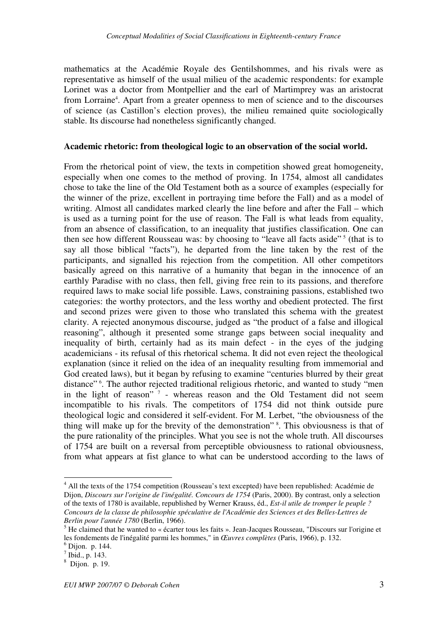mathematics at the Académie Royale des Gentilshommes, and his rivals were as representative as himself of the usual milieu of the academic respondents: for example Lorinet was a doctor from Montpellier and the earl of Martimprey was an aristocrat from Lorraine<sup>4</sup>. Apart from a greater openness to men of science and to the discourses of science (as Castillon's election proves), the milieu remained quite sociologically stable. Its discourse had nonetheless significantly changed.

#### **Academic rhetoric: from theological logic to an observation of the social world.**

From the rhetorical point of view, the texts in competition showed great homogeneity, especially when one comes to the method of proving. In 1754, almost all candidates chose to take the line of the Old Testament both as a source of examples (especially for the winner of the prize, excellent in portraying time before the Fall) and as a model of writing. Almost all candidates marked clearly the line before and after the Fall – which is used as a turning point for the use of reason. The Fall is what leads from equality, from an absence of classification, to an inequality that justifies classification. One can then see how different Rousseau was: by choosing to "leave all facts aside"<sup>5</sup> (that is to say all those biblical "facts"), he departed from the line taken by the rest of the participants, and signalled his rejection from the competition. All other competitors basically agreed on this narrative of a humanity that began in the innocence of an earthly Paradise with no class, then fell, giving free rein to its passions, and therefore required laws to make social life possible. Laws, constraining passions, established two categories: the worthy protectors, and the less worthy and obedient protected. The first and second prizes were given to those who translated this schema with the greatest clarity. A rejected anonymous discourse, judged as "the product of a false and illogical reasoning", although it presented some strange gaps between social inequality and inequality of birth, certainly had as its main defect - in the eyes of the judging academicians - its refusal of this rhetorical schema. It did not even reject the theological explanation (since it relied on the idea of an inequality resulting from immemorial and God created laws), but it began by refusing to examine "centuries blurred by their great distance"<sup>6</sup>. The author rejected traditional religious rhetoric, and wanted to study "men in the light of reason"<sup>7</sup> - whereas reason and the Old Testament did not seem incompatible to his rivals. The competitors of 1754 did not think outside pure theological logic and considered it self-evident. For M. Lerbet, "the obviousness of the thing will make up for the brevity of the demonstration"<sup>8</sup>. This obviousness is that of the pure rationality of the principles. What you see is not the whole truth. All discourses of 1754 are built on a reversal from perceptible obviousness to rational obviousness, from what appears at fist glance to what can be understood according to the laws of

<sup>&</sup>lt;sup>4</sup> All the texts of the 1754 competition (Rousseau's text excepted) have been republished: Académie de Dijon, *Discours sur l'origine de l'inégalité. Concours de 1754* (Paris, 2000). By contrast, only a selection of the texts of 1780 is available, republished by Werner Krauss, éd., *Est-il utile de tromper le peuple ? Concours de la classe de philosophie spéculative de l'Académie des Sciences et des Belles-Lettres de Berlin pour l'année 1780* (Berlin, 1966).

<sup>&</sup>lt;sup>5</sup> He claimed that he wanted to « écarter tous les faits ». Jean-Jacques Rousseau, "Discours sur l'origine et les fondements de l'inégalité parmi les hommes," in *Œuvres complètes* (Paris, 1966), p. 132.

<sup>6</sup> Dijon. p. 144.

 $<sup>7</sup>$  Ibid., p. 143.</sup>

<sup>8</sup> Dijon. p. 19.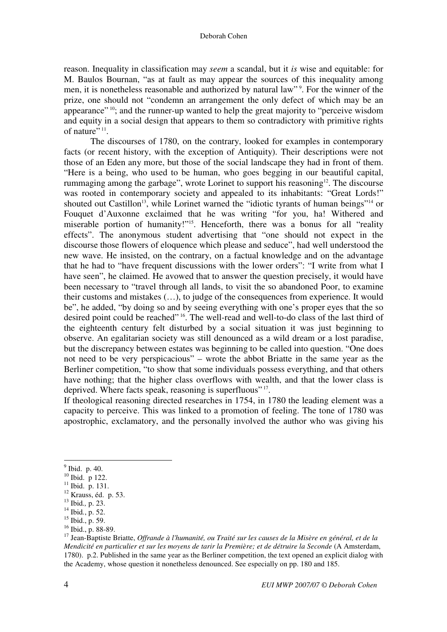reason. Inequality in classification may *seem* a scandal, but it *is* wise and equitable: for M. Baulos Bournan, "as at fault as may appear the sources of this inequality among men, it is nonetheless reasonable and authorized by natural law"<sup>9</sup>. For the winner of the prize, one should not "condemn an arrangement the only defect of which may be an appearance"<sup>10</sup>; and the runner-up wanted to help the great majority to "perceive wisdom" and equity in a social design that appears to them so contradictory with primitive rights of nature" $11$ .

The discourses of 1780, on the contrary, looked for examples in contemporary facts (or recent history, with the exception of Antiquity). Their descriptions were not those of an Eden any more, but those of the social landscape they had in front of them. "Here is a being, who used to be human, who goes begging in our beautiful capital, rummaging among the garbage", wrote Lorinet to support his reasoning<sup>12</sup>. The discourse was rooted in contemporary society and appealed to its inhabitants: "Great Lords!" shouted out Castillon<sup>13</sup>, while Lorinet warned the "idiotic tyrants of human beings"<sup>14</sup> or Fouquet d'Auxonne exclaimed that he was writing "for you, ha! Withered and miserable portion of humanity!"<sup>15</sup>. Henceforth, there was a bonus for all "reality" effects". The anonymous student advertising that "one should not expect in the discourse those flowers of eloquence which please and seduce", had well understood the new wave. He insisted, on the contrary, on a factual knowledge and on the advantage that he had to "have frequent discussions with the lower orders": "I write from what I have seen", he claimed. He avowed that to answer the question precisely, it would have been necessary to "travel through all lands, to visit the so abandoned Poor, to examine their customs and mistakes (…), to judge of the consequences from experience. It would be", he added, "by doing so and by seeing everything with one's proper eyes that the so desired point could be reached"<sup>16</sup>. The well-read and well-to-do class of the last third of the eighteenth century felt disturbed by a social situation it was just beginning to observe. An egalitarian society was still denounced as a wild dream or a lost paradise, but the discrepancy between estates was beginning to be called into question. "One does not need to be very perspicacious" – wrote the abbot Briatte in the same year as the Berliner competition, "to show that some individuals possess everything, and that others have nothing; that the higher class overflows with wealth, and that the lower class is deprived. Where facts speak, reasoning is superfluous"<sup>17</sup>.

If theological reasoning directed researches in 1754, in 1780 the leading element was a capacity to perceive. This was linked to a promotion of feeling. The tone of 1780 was apostrophic, exclamatory, and the personally involved the author who was giving his

<sup>&</sup>lt;sup>9</sup> Ibid. p. 40.

 $10$  Ibid. p 122.

 $11$  Ibid. p. 131.

 $12$  Krauss, éd. p. 53.

<sup>13</sup> Ibid*.,* p. 23.

<sup>14</sup> Ibid*.*, p. 52.

<sup>15</sup> Ibid., p. 59.

 $16$  Ibid., p. 88-89.

<sup>17</sup> Jean-Baptiste Briatte, *Offrande à l'humanité, ou Traité sur les causes de la Misère en général, et de la Mendicité en particulier et sur les moyens de tarir la Première; et de détruire la Seconde* (A Amsterdam, 1780). p.2. Published in the same year as the Berliner competition, the text opened an explicit dialog with the Academy, whose question it nonetheless denounced. See especially on pp. 180 and 185.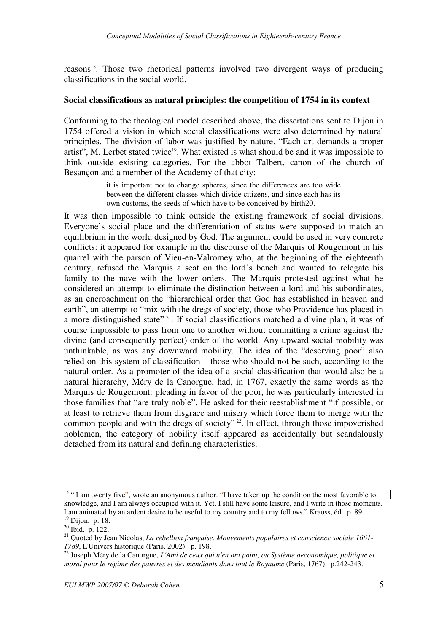reasons<sup>18</sup>. Those two rhetorical patterns involved two divergent ways of producing classifications in the social world.

#### **Social classifications as natural principles: the competition of 1754 in its context**

Conforming to the theological model described above, the dissertations sent to Dijon in 1754 offered a vision in which social classifications were also determined by natural principles. The division of labor was justified by nature. "Each art demands a proper artist", M. Lerbet stated twice<sup>19</sup>. What existed is what should be and it was impossible to think outside existing categories. For the abbot Talbert, canon of the church of Besançon and a member of the Academy of that city:

> it is important not to change spheres, since the differences are too wide between the different classes which divide citizens, and since each has its own customs, the seeds of which have to be conceived by birth20.

It was then impossible to think outside the existing framework of social divisions. Everyone's social place and the differentiation of status were supposed to match an equilibrium in the world designed by God. The argument could be used in very concrete conflicts: it appeared for example in the discourse of the Marquis of Rougemont in his quarrel with the parson of Vieu-en-Valromey who, at the beginning of the eighteenth century, refused the Marquis a seat on the lord's bench and wanted to relegate his family to the nave with the lower orders. The Marquis protested against what he considered an attempt to eliminate the distinction between a lord and his subordinates, as an encroachment on the "hierarchical order that God has established in heaven and earth", an attempt to "mix with the dregs of society, those who Providence has placed in a more distinguished state"<sup>21</sup>. If social classifications matched a divine plan, it was of course impossible to pass from one to another without committing a crime against the divine (and consequently perfect) order of the world. Any upward social mobility was unthinkable, as was any downward mobility. The idea of the "deserving poor" also relied on this system of classification – those who should not be such, according to the natural order. As a promoter of the idea of a social classification that would also be a natural hierarchy, Méry de la Canorgue, had, in 1767, exactly the same words as the Marquis de Rougemont: pleading in favor of the poor, he was particularly interested in those families that "are truly noble". He asked for their reestablishment "if possible; or at least to retrieve them from disgrace and misery which force them to merge with the common people and with the dregs of society"<sup>22</sup>. In effect, through those impoverished noblemen, the category of nobility itself appeared as accidentally but scandalously detached from its natural and defining characteristics.

 $18$  " I am twenty five", wrote an anonymous author. "I have taken up the condition the most favorable to knowledge, and I am always occupied with it. Yet, I still have some leisure, and I write in those moments. I am animated by an ardent desire to be useful to my country and to my fellows." Krauss, éd. p. 89. <sup>19</sup> Dijon. p. 18.

<sup>20</sup> Ibid. p. 122.

<sup>21</sup> Quoted by Jean Nicolas, *La rébellion française. Mouvements populaires et conscience sociale 1661- 1789*, L'Univers historique (Paris, 2002). p. 198.

<sup>22</sup> Joseph Méry de la Canorgue, *L'Ami de ceux qui n'en ont point, ou Système oeconomique, politique et moral pour le régime des pauvres et des mendiants dans tout le Royaume* (Paris, 1767). p.242-243.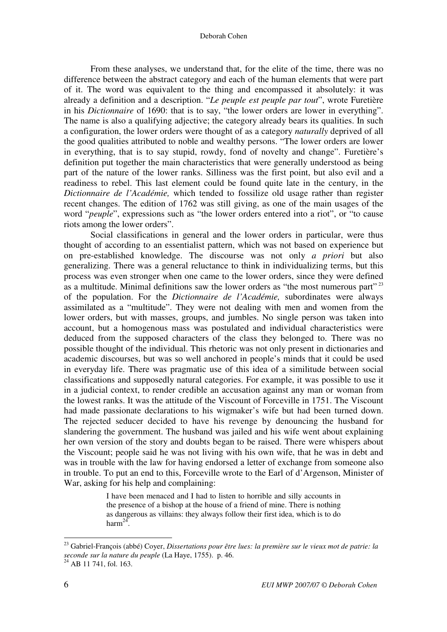From these analyses, we understand that, for the elite of the time, there was no difference between the abstract category and each of the human elements that were part of it. The word was equivalent to the thing and encompassed it absolutely: it was already a definition and a description. "*Le peuple est peuple par tout*", wrote Furetière in his *Dictionnaire* of 1690: that is to say, "the lower orders are lower in everything". The name is also a qualifying adjective; the category already bears its qualities. In such a configuration, the lower orders were thought of as a category *naturally* deprived of all the good qualities attributed to noble and wealthy persons. "The lower orders are lower in everything, that is to say stupid, rowdy, fond of novelty and change". Furetière's definition put together the main characteristics that were generally understood as being part of the nature of the lower ranks. Silliness was the first point, but also evil and a readiness to rebel. This last element could be found quite late in the century, in the *Dictionnaire de l'Académie,* which tended to fossilize old usage rather than register recent changes. The edition of 1762 was still giving, as one of the main usages of the word "*peuple*", expressions such as "the lower orders entered into a riot", or "to cause riots among the lower orders".

Social classifications in general and the lower orders in particular, were thus thought of according to an essentialist pattern, which was not based on experience but on pre-established knowledge. The discourse was not only *a priori* but also generalizing. There was a general reluctance to think in individualizing terms, but this process was even stronger when one came to the lower orders, since they were defined as a multitude. Minimal definitions saw the lower orders as "the most numerous part"<sup>23</sup> of the population. For the *Dictionnaire de l'Académie,* subordinates were always assimilated as a "multitude". They were not dealing with men and women from the lower orders, but with masses, groups, and jumbles. No single person was taken into account, but a homogenous mass was postulated and individual characteristics were deduced from the supposed characters of the class they belonged to. There was no possible thought of the individual. This rhetoric was not only present in dictionaries and academic discourses, but was so well anchored in people's minds that it could be used in everyday life. There was pragmatic use of this idea of a similitude between social classifications and supposedly natural categories. For example, it was possible to use it in a judicial context, to render credible an accusation against any man or woman from the lowest ranks. It was the attitude of the Viscount of Forceville in 1751. The Viscount had made passionate declarations to his wigmaker's wife but had been turned down. The rejected seducer decided to have his revenge by denouncing the husband for slandering the government. The husband was jailed and his wife went about explaining her own version of the story and doubts began to be raised. There were whispers about the Viscount; people said he was not living with his own wife, that he was in debt and was in trouble with the law for having endorsed a letter of exchange from someone also in trouble. To put an end to this, Forceville wrote to the Earl of d'Argenson, Minister of War, asking for his help and complaining:

> I have been menaced and I had to listen to horrible and silly accounts in the presence of a bishop at the house of a friend of mine. There is nothing as dangerous as villains: they always follow their first idea, which is to do harm<sup>24</sup>.

<sup>23</sup> Gabriel-François (abbé) Coyer, *Dissertations pour être lues: la première sur le vieux mot de patrie: la seconde sur la nature du peuple* (La Haye, 1755). p. 46.

 $^{24}$  AB 11 741, fol. 163.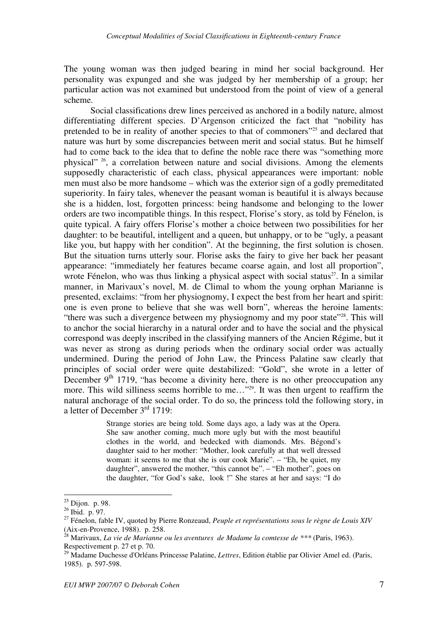The young woman was then judged bearing in mind her social background. Her personality was expunged and she was judged by her membership of a group; her particular action was not examined but understood from the point of view of a general scheme.

Social classifications drew lines perceived as anchored in a bodily nature, almost differentiating different species. D'Argenson criticized the fact that "nobility has pretended to be in reality of another species to that of commoners"<sup>25</sup> and declared that nature was hurt by some discrepancies between merit and social status. But he himself had to come back to the idea that to define the noble race there was "something more physical"<sup>26</sup>, a correlation between nature and social divisions. Among the elements supposedly characteristic of each class, physical appearances were important: noble men must also be more handsome – which was the exterior sign of a godly premeditated superiority. In fairy tales, whenever the peasant woman is beautiful it is always because she is a hidden, lost, forgotten princess: being handsome and belonging to the lower orders are two incompatible things. In this respect, Florise's story, as told by Fénelon, is quite typical. A fairy offers Florise's mother a choice between two possibilities for her daughter: to be beautiful, intelligent and a queen, but unhappy, or to be "ugly, a peasant" like you, but happy with her condition". At the beginning, the first solution is chosen. But the situation turns utterly sour. Florise asks the fairy to give her back her peasant appearance: "immediately her features became coarse again, and lost all proportion", wrote Fénelon, who was thus linking a physical aspect with social status<sup>27</sup>. In a similar manner, in Marivaux's novel, M. de Climal to whom the young orphan Marianne is presented, exclaims: "from her physiognomy, I expect the best from her heart and spirit: one is even prone to believe that she was well born", whereas the heroine laments: "there was such a divergence between my physiognomy and my poor state"<sup>28</sup>. This will to anchor the social hierarchy in a natural order and to have the social and the physical correspond was deeply inscribed in the classifying manners of the Ancien Régime, but it was never as strong as during periods when the ordinary social order was actually undermined. During the period of John Law, the Princess Palatine saw clearly that principles of social order were quite destabilized: "Gold", she wrote in a letter of December  $9<sup>th</sup>$  1719, "has become a divinity here, there is no other preoccupation any more. This wild silliness seems horrible to me..."<sup>29</sup>. It was then urgent to reaffirm the natural anchorage of the social order. To do so, the princess told the following story, in a letter of December  $3<sup>rd</sup>$  1719:

> Strange stories are being told. Some days ago, a lady was at the Opera. She saw another coming, much more ugly but with the most beautiful clothes in the world, and bedecked with diamonds. Mrs. Bégond's daughter said to her mother: "Mother, look carefully at that well dressed woman: it seems to me that she is our cook Marie". – "Eh, be quiet, my daughter", answered the mother, "this cannot be". – "Eh mother", goes on the daughter, "for God's sake, look !" She stares at her and says: "I do

<sup>&</sup>lt;sup>25</sup> Dijon. p. 98.

<sup>26</sup> Ibid. p. 97.

<sup>27</sup> Fénelon, fable IV, quoted by Pierre Ronzeaud, *Peuple et représentations sous le règne de Louis XIV* (Aix-en-Provence, 1988). p. 258.

<sup>28</sup> Marivaux, *La vie de Marianne ou les aventures de Madame la comtesse de \*\*\** (Paris, 1963). Respectivement p. 27 et p. 70.

<sup>29</sup> Madame Duchesse d'Orléans Princesse Palatine, *Lettres*, Edition établie par Olivier Amel ed. (Paris, 1985). p. 597-598.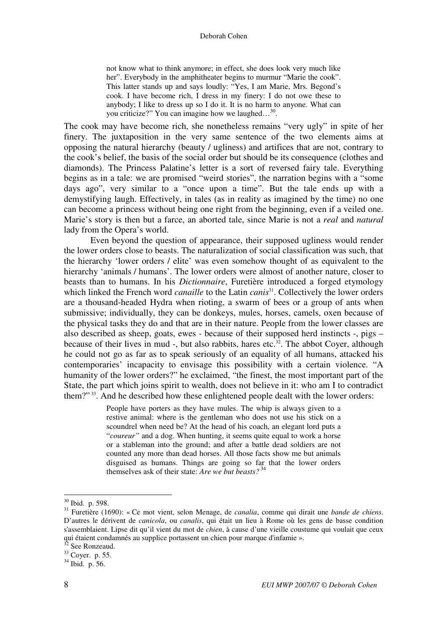not know what to think anymore; in effect, she does look very much like her". Everybody in the amphitheater begins to murmur "Marie the cook". This latter stands up and says loudly: "Yes, I am Marie, Mrs. Begond's cook. I have become rich, I dress in my finery: I do not owe these to anybody; I like to dress up so I do it. It is no harm to anyone. What can you criticize?" You can imagine how we laughed...<sup>30</sup>.

The cook may have become rich, she nonetheless remains "very ugly" in spite of her finery. The juxtaposition in the very same sentence of the two elements aims at opposing the natural hierarchy (beauty / ugliness) and artifices that are not, contrary to the cook's belief, the basis of the social order but should be its consequence (clothes and diamonds). The Princess Palatine's letter is a sort of reversed fairy tale. Everything begins as in a tale: we are promised "weird stories", the narration begins with a "some days ago", very similar to a "once upon a time". But the tale ends up with a demystifying laugh. Effectively, in tales (as in reality as imagined by the time) no one can become a princess without being one right from the beginning, even if a veiled one. Marie's story is then but a farce, an aborted tale, since Marie is not a *real* and *natural* lady from the Opera's world.

Even beyond the question of appearance, their supposed ugliness would render the lower orders close to beasts. The naturalization of social classification was such, that the hierarchy 'lower orders / elite' was even somehow thought of as equivalent to the hierarchy 'animals / humans'. The lower orders were almost of another nature, closer to beasts than to humans. In his *Dictionnaire*, Furetière introduced a forged etymology which linked the French word *canaille* to the Latin *canis*<sup>31</sup>. Collectively the lower orders are a thousand-headed Hydra when rioting, a swarm of bees or a group of ants when submissive; individually, they can be donkeys, mules, horses, camels, oxen because of the physical tasks they do and that are in their nature. People from the lower classes are also described as sheep, goats, ewes - because of their supposed herd instincts -, pigs – because of their lives in mud -, but also rabbits, hares etc.<sup>32</sup>. The abbot Coyer, although he could not go as far as to speak seriously of an equality of all humans, attacked his contemporaries' incapacity to envisage this possibility with a certain violence. "A humanity of the lower orders?" he exclaimed, "the finest, the most important part of the State, the part which joins spirit to wealth, does not believe in it: who am I to contradict them?"<sup>33</sup>. And he described how these enlightened people dealt with the lower orders:

> People have porters as they have mules. The whip is always given to a restive animal: where is the gentleman who does not use his stick on a scoundrel when need be? At the head of his coach, an elegant lord puts a "*coureur"* and a dog. When hunting, it seems quite equal to work a horse or a stableman into the ground; and after a battle dead soldiers are not counted any more than dead horses. All those facts show me but animals disguised as humans. Things are going so far that the lower orders themselves ask of their state: *Are we but beasts?*<sup>34</sup>

 $30$  Ibid. p. 598.

<sup>31</sup> Furetière (1690): « Ce mot vient, selon Menage, de *canalia*, comme qui dirait une *bande de chiens*. D'autres le dérivent de *canicola*, ou *canalis*, qui était un lieu à Rome où les gens de basse condition s'assemblaient. Lipse dit qu'il vient du mot de *chien*, à cause d'une vieille coustume qui voulait que ceux qui étaient condamnés au supplice portassent un chien pour marque d'infamie ».

<sup>&</sup>lt;sup>32</sup> See Ronzeaud.

<sup>33</sup> Coyer. p. 55.

 $34$  Ibid. p. 56.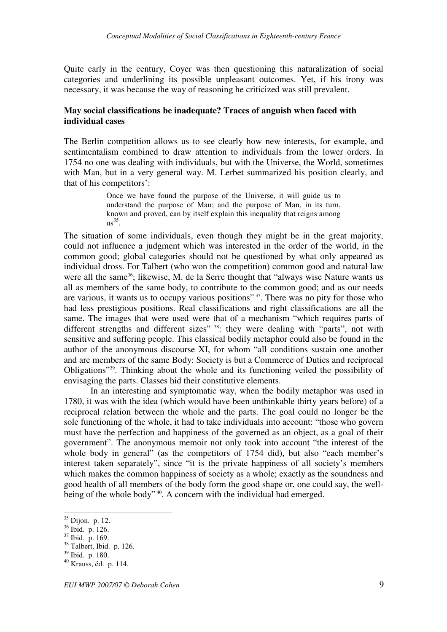Quite early in the century, Coyer was then questioning this naturalization of social categories and underlining its possible unpleasant outcomes. Yet, if his irony was necessary, it was because the way of reasoning he criticized was still prevalent.

#### **May social classifications be inadequate? Traces of anguish when faced with individual cases**

The Berlin competition allows us to see clearly how new interests, for example, and sentimentalism combined to draw attention to individuals from the lower orders. In 1754 no one was dealing with individuals, but with the Universe, the World, sometimes with Man, but in a very general way. M. Lerbet summarized his position clearly, and that of his competitors':

> Once we have found the purpose of the Universe, it will guide us to understand the purpose of Man; and the purpose of Man, in its turn, known and proved, can by itself explain this inequality that reigns among  $\mathrm{us}^{35}$ .

The situation of some individuals, even though they might be in the great majority, could not influence a judgment which was interested in the order of the world, in the common good; global categories should not be questioned by what only appeared as individual dross. For Talbert (who won the competition) common good and natural law were all the same<sup>36</sup>; likewise, M. de la Serre thought that "always wise Nature wants us all as members of the same body, to contribute to the common good; and as our needs are various, it wants us to occupy various positions"<sup>37</sup>. There was no pity for those who had less prestigious positions. Real classifications and right classifications are all the same. The images that were used were that of a mechanism "which requires parts of different strengths and different sizes"<sup>38</sup>: they were dealing with "parts", not with sensitive and suffering people. This classical bodily metaphor could also be found in the author of the anonymous discourse XI, for whom "all conditions sustain one another and are members of the same Body: Society is but a Commerce of Duties and reciprocal Obligations"<sup>39</sup>. Thinking about the whole and its functioning veiled the possibility of envisaging the parts. Classes hid their constitutive elements.

 In an interesting and symptomatic way, when the bodily metaphor was used in 1780, it was with the idea (which would have been unthinkable thirty years before) of a reciprocal relation between the whole and the parts. The goal could no longer be the sole functioning of the whole, it had to take individuals into account: "those who govern must have the perfection and happiness of the governed as an object, as a goal of their government". The anonymous memoir not only took into account "the interest of the whole body in general" (as the competitors of 1754 did), but also "each member's interest taken separately", since "it is the private happiness of all society's members which makes the common happiness of society as a whole; exactly as the soundness and good health of all members of the body form the good shape or, one could say, the wellbeing of the whole body"<sup>40</sup>. A concern with the individual had emerged.

<sup>&</sup>lt;sup>35</sup> Dijon. p. 12.

<sup>36</sup> Ibid. p. 126.

<sup>37</sup> Ibid. p. 169.

<sup>&</sup>lt;sup>38</sup> Talbert, Ibid. p. 126.

<sup>39</sup> Ibid. p. 180.

<sup>40</sup> Krauss, éd. p. 114.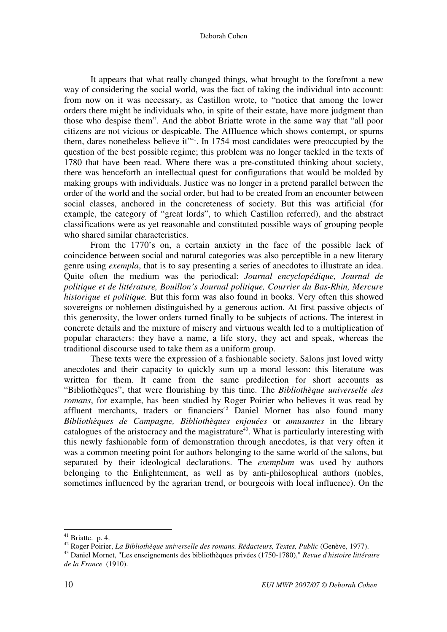Deborah Cohen

 It appears that what really changed things, what brought to the forefront a new way of considering the social world, was the fact of taking the individual into account: from now on it was necessary, as Castillon wrote, to "notice that among the lower orders there might be individuals who, in spite of their estate, have more judgment than those who despise them". And the abbot Briatte wrote in the same way that "all poor citizens are not vicious or despicable. The Affluence which shows contempt, or spurns them, dares nonetheless believe it<sup>\*\*41</sup>. In 1754 most candidates were preoccupied by the question of the best possible regime; this problem was no longer tackled in the texts of 1780 that have been read. Where there was a pre-constituted thinking about society, there was henceforth an intellectual quest for configurations that would be molded by making groups with individuals. Justice was no longer in a pretend parallel between the order of the world and the social order, but had to be created from an encounter between social classes, anchored in the concreteness of society. But this was artificial (for example, the category of "great lords", to which Castillon referred), and the abstract classifications were as yet reasonable and constituted possible ways of grouping people who shared similar characteristics.

From the 1770's on, a certain anxiety in the face of the possible lack of coincidence between social and natural categories was also perceptible in a new literary genre using *exempla*, that is to say presenting a series of anecdotes to illustrate an idea. Quite often the medium was the periodical: *Journal encyclopédique, Journal de politique et de littérature, Bouillon's Journal politique, Courrier du Bas-Rhin, Mercure historique et politique.* But this form was also found in books. Very often this showed sovereigns or noblemen distinguished by a generous action. At first passive objects of this generosity, the lower orders turned finally to be subjects of actions. The interest in concrete details and the mixture of misery and virtuous wealth led to a multiplication of popular characters: they have a name, a life story, they act and speak, whereas the traditional discourse used to take them as a uniform group.

 These texts were the expression of a fashionable society. Salons just loved witty anecdotes and their capacity to quickly sum up a moral lesson: this literature was written for them. It came from the same predilection for short accounts as "Bibliothèques", that were flourishing by this time. The *Bibliothèque universelle des romans*, for example, has been studied by Roger Poirier who believes it was read by affluent merchants, traders or financiers<sup>42</sup> Daniel Mornet has also found many *Bibliothèques de Campagne, Bibliothèques enjouées* or *amusantes* in the library catalogues of the aristocracy and the magistrature<sup>43</sup>. What is particularly interesting with this newly fashionable form of demonstration through anecdotes, is that very often it was a common meeting point for authors belonging to the same world of the salons, but separated by their ideological declarations. The *exemplum* was used by authors belonging to the Enlightenment, as well as by anti-philosophical authors (nobles, sometimes influenced by the agrarian trend, or bourgeois with local influence). On the

 $41$  Briatte. p. 4.

<sup>42</sup> Roger Poirier, *La Bibliothèque universelle des romans. Rédacteurs, Textes, Public* (Genève, 1977).

<sup>43</sup> Daniel Mornet, "Les enseignements des bibliothèques privées (1750-1780)," *Revue d'histoire littéraire de la France* (1910).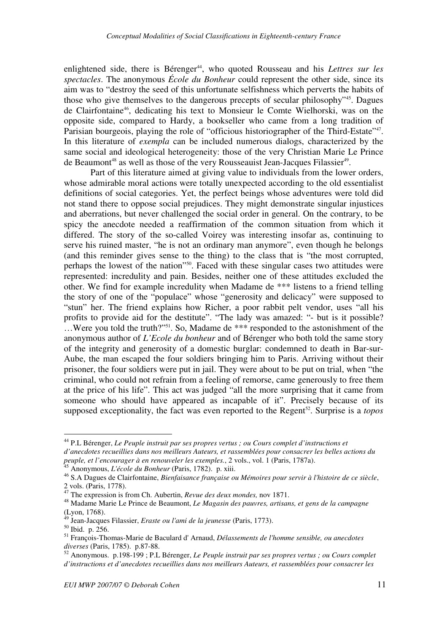enlightened side, there is Bérenger<sup>44</sup>, who quoted Rousseau and his *Lettres sur les spectacles*. The anonymous *École du Bonheur* could represent the other side, since its aim was to "destroy the seed of this unfortunate selfishness which perverts the habits of those who give themselves to the dangerous precepts of secular philosophy"<sup>45</sup>. Dagues de Clairfontaine<sup>46</sup>, dedicating his text to Monsieur le Comte Wielhorski, was on the opposite side, compared to Hardy, a bookseller who came from a long tradition of Parisian bourgeois, playing the role of "officious historiographer of the Third-Estate"<sup>47</sup>. In this literature of *exempla* can be included numerous dialogs, characterized by the same social and ideological heterogeneity: those of the very Christian Marie Le Prince de Beaumont<sup>48</sup> as well as those of the very Rousseauist Jean-Jacques Filassier<sup>49</sup>.

Part of this literature aimed at giving value to individuals from the lower orders, whose admirable moral actions were totally unexpected according to the old essentialist definitions of social categories. Yet, the perfect beings whose adventures were told did not stand there to oppose social prejudices. They might demonstrate singular injustices and aberrations, but never challenged the social order in general. On the contrary, to be spicy the anecdote needed a reaffirmation of the common situation from which it differed. The story of the so-called Voirey was interesting insofar as, continuing to serve his ruined master, "he is not an ordinary man anymore", even though he belongs (and this reminder gives sense to the thing) to the class that is "the most corrupted, perhaps the lowest of the nation"<sup>50</sup>. Faced with these singular cases two attitudes were represented: incredulity and pain. Besides, neither one of these attitudes excluded the other. We find for example incredulity when Madame de \*\*\* listens to a friend telling the story of one of the "populace" whose "generosity and delicacy" were supposed to "stun" her. The friend explains how Richer, a poor rabbit pelt vendor, uses "all his profits to provide aid for the destitute". "The lady was amazed: "- but is it possible? …Were you told the truth?"<sup>51</sup>. So, Madame de \*\*\* responded to the astonishment of the anonymous author of *L'Ecole du bonheur* and of Bérenger who both told the same story of the integrity and generosity of a domestic burglar: condemned to death in Bar-sur-Aube, the man escaped the four soldiers bringing him to Paris. Arriving without their prisoner, the four soldiers were put in jail. They were about to be put on trial, when "the criminal, who could not refrain from a feeling of remorse, came generously to free them at the price of his life". This act was judged "all the more surprising that it came from someone who should have appeared as incapable of it". Precisely because of its supposed exceptionality, the fact was even reported to the Regent<sup>52</sup>. Surprise is a *topos* 

<sup>44</sup> P.L Bérenger, *Le Peuple instruit par ses propres vertus ; ou Cours complet d'instructions et d'anecdotes recueillies dans nos meilleurs Auteurs, et rassemblées pour consacrer les belles actions du peuple, et l'encourager à en renouveler les exemples.*, 2 vols., vol. 1 (Paris, 1787a).

<sup>45</sup> Anonymous, *L'école du Bonheur* (Paris, 1782). p. xiii.

<sup>46</sup> S.A Dagues de Clairfontaine, *Bienfaisance française ou Mémoires pour servir à l'histoire de ce siècle*, 2 vols. (Paris, 1778).

<sup>47</sup> The expression is from Ch. Aubertin, *Revue des deux mondes,* nov 1871.

<sup>48</sup> Madame Marie Le Prince de Beaumont, *Le Magasin des pauvres, artisans, et gens de la campagne*  $(L$ yon, 1768).

<sup>49</sup> Jean-Jacques Filassier, *Eraste ou l'ami de la jeunesse* (Paris, 1773).

<sup>50</sup> Ibid. p. 256.

<sup>51</sup> François-Thomas-Marie de Baculard d' Arnaud, *Délassements de l'homme sensible, ou anecdotes diverses* (Paris, 1785). p.87-88.

<sup>52</sup> Anonymous. p.198-199 ; P.L Bérenger, *Le Peuple instruit par ses propres vertus ; ou Cours complet d'instructions et d'anecdotes recueillies dans nos meilleurs Auteurs, et rassemblées pour consacrer les*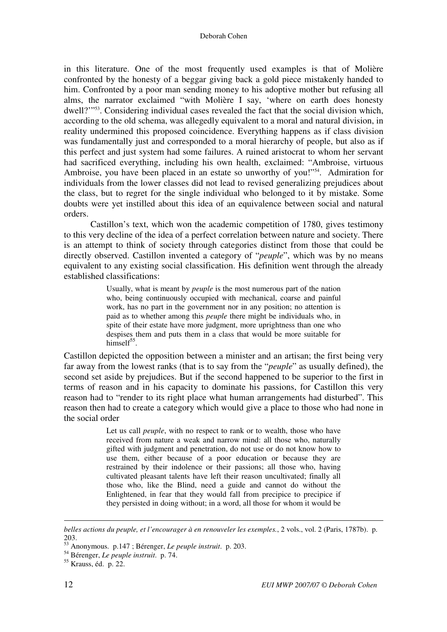#### Deborah Cohen

in this literature. One of the most frequently used examples is that of Molière confronted by the honesty of a beggar giving back a gold piece mistakenly handed to him. Confronted by a poor man sending money to his adoptive mother but refusing all alms, the narrator exclaimed "with Molière I say, 'where on earth does honesty dwell?"<sup>53</sup>. Considering individual cases revealed the fact that the social division which, according to the old schema, was allegedly equivalent to a moral and natural division, in reality undermined this proposed coincidence. Everything happens as if class division was fundamentally just and corresponded to a moral hierarchy of people, but also as if this perfect and just system had some failures. A ruined aristocrat to whom her servant had sacrificed everything, including his own health, exclaimed: "Ambroise, virtuous Ambroise, you have been placed in an estate so unworthy of you!"<sup>54</sup>. Admiration for individuals from the lower classes did not lead to revised generalizing prejudices about the class, but to regret for the single individual who belonged to it by mistake. Some doubts were yet instilled about this idea of an equivalence between social and natural orders.

Castillon's text, which won the academic competition of 1780, gives testimony to this very decline of the idea of a perfect correlation between nature and society. There is an attempt to think of society through categories distinct from those that could be directly observed. Castillon invented a category of "*peuple*", which was by no means equivalent to any existing social classification. His definition went through the already established classifications:

> Usually, what is meant by *peuple* is the most numerous part of the nation who, being continuously occupied with mechanical, coarse and painful work, has no part in the government nor in any position; no attention is paid as to whether among this *peuple* there might be individuals who, in spite of their estate have more judgment, more uprightness than one who despises them and puts them in a class that would be more suitable for himsel $f^{55}$ .

Castillon depicted the opposition between a minister and an artisan; the first being very far away from the lowest ranks (that is to say from the "*peuple*" as usually defined), the second set aside by prejudices. But if the second happened to be superior to the first in terms of reason and in his capacity to dominate his passions, for Castillon this very reason had to "render to its right place what human arrangements had disturbed". This reason then had to create a category which would give a place to those who had none in the social order

> Let us call *peuple*, with no respect to rank or to wealth, those who have received from nature a weak and narrow mind: all those who, naturally gifted with judgment and penetration, do not use or do not know how to use them, either because of a poor education or because they are restrained by their indolence or their passions; all those who, having cultivated pleasant talents have left their reason uncultivated; finally all those who, like the Blind, need a guide and cannot do without the Enlightened, in fear that they would fall from precipice to precipice if they persisted in doing without; in a word, all those for whom it would be

-

*belles actions du peuple, et l'encourager à en renouveler les exemples.*, 2 vols., vol. 2 (Paris, 1787b). p. 203.

<sup>53</sup> Anonymous. p.147 ; Bérenger, *Le peuple instruit*. p. 203.

<sup>54</sup> Bérenger, *Le peuple instruit*. p. 74.

<sup>55</sup> Krauss, éd. p. 22.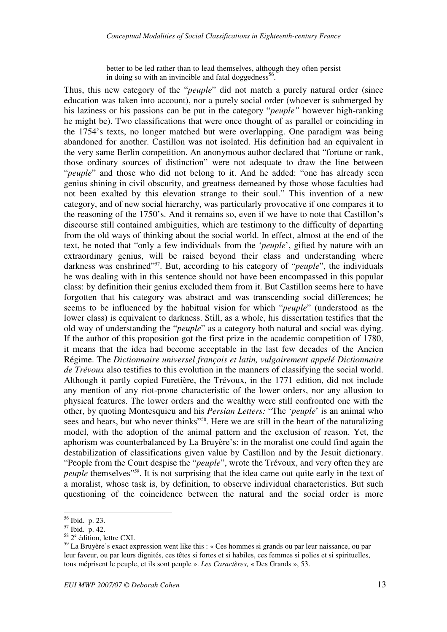better to be led rather than to lead themselves, although they often persist in doing so with an invincible and fatal doggedness<sup>56</sup>.

Thus, this new category of the "*peuple*" did not match a purely natural order (since education was taken into account), nor a purely social order (whoever is submerged by his laziness or his passions can be put in the category "*peuple"* however high-ranking he might be). Two classifications that were once thought of as parallel or coinciding in the 1754's texts, no longer matched but were overlapping. One paradigm was being abandoned for another. Castillon was not isolated. His definition had an equivalent in the very same Berlin competition. An anonymous author declared that "fortune or rank, those ordinary sources of distinction" were not adequate to draw the line between "*peuple*" and those who did not belong to it. And he added: "one has already seen genius shining in civil obscurity, and greatness demeaned by those whose faculties had not been exalted by this elevation strange to their soul." This invention of a new category, and of new social hierarchy, was particularly provocative if one compares it to the reasoning of the 1750's. And it remains so, even if we have to note that Castillon's discourse still contained ambiguities, which are testimony to the difficulty of departing from the old ways of thinking about the social world. In effect, almost at the end of the text, he noted that "only a few individuals from the '*peuple*', gifted by nature with an extraordinary genius, will be raised beyond their class and understanding where darkness was enshrined"<sup>57</sup>. But, according to his category of "*peuple*", the individuals he was dealing with in this sentence should not have been encompassed in this popular class: by definition their genius excluded them from it. But Castillon seems here to have forgotten that his category was abstract and was transcending social differences; he seems to be influenced by the habitual vision for which "*peuple*" (understood as the lower class) is equivalent to darkness. Still, as a whole, his dissertation testifies that the old way of understanding the "*peuple*" as a category both natural and social was dying. If the author of this proposition got the first prize in the academic competition of 1780, it means that the idea had become acceptable in the last few decades of the Ancien Régime. The *Dictionnaire universel françois et latin, vulgairement appelé Dictionnaire de Trévoux* also testifies to this evolution in the manners of classifying the social world. Although it partly copied Furetière, the Trévoux, in the 1771 edition, did not include any mention of any riot-prone characteristic of the lower orders, nor any allusion to physical features. The lower orders and the wealthy were still confronted one with the other, by quoting Montesquieu and his *Persian Letters:* "The '*peuple*' is an animal who sees and hears, but who never thinks"<sup>58</sup>. Here we are still in the heart of the naturalizing model, with the adoption of the animal pattern and the exclusion of reason. Yet, the aphorism was counterbalanced by La Bruyère's: in the moralist one could find again the destabilization of classifications given value by Castillon and by the Jesuit dictionary. "People from the Court despise the "*peuple*", wrote the Trévoux, and very often they are *peuple* themselves<sup>"59</sup>. It is not surprising that the idea came out quite early in the text of a moralist, whose task is, by definition, to observe individual characteristics. But such questioning of the coincidence between the natural and the social order is more

<sup>56</sup> Ibid. p. 23.

<sup>57</sup> Ibid. p. 42.

 $58 \text{ } 2^e$  édition, lettre CXI.

<sup>59</sup> La Bruyère's exact expression went like this : « Ces hommes si grands ou par leur naissance, ou par leur faveur, ou par leurs dignités, ces têtes si fortes et si habiles, ces femmes si polies et si spirituelles, tous méprisent le peuple, et ils sont peuple ». *Les Caractères,* « Des Grands », 53.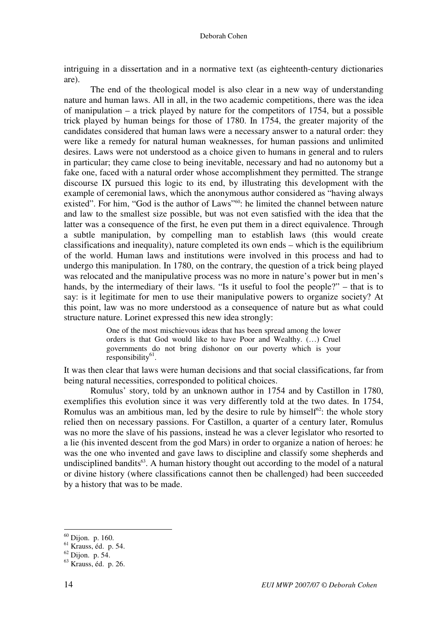intriguing in a dissertation and in a normative text (as eighteenth-century dictionaries are).

The end of the theological model is also clear in a new way of understanding nature and human laws. All in all, in the two academic competitions, there was the idea of manipulation – a trick played by nature for the competitors of 1754, but a possible trick played by human beings for those of 1780. In 1754, the greater majority of the candidates considered that human laws were a necessary answer to a natural order: they were like a remedy for natural human weaknesses, for human passions and unlimited desires. Laws were not understood as a choice given to humans in general and to rulers in particular; they came close to being inevitable, necessary and had no autonomy but a fake one, faced with a natural order whose accomplishment they permitted. The strange discourse IX pursued this logic to its end, by illustrating this development with the example of ceremonial laws, which the anonymous author considered as "having always existed". For him, "God is the author of Laws"<sup>60</sup>: he limited the channel between nature and law to the smallest size possible, but was not even satisfied with the idea that the latter was a consequence of the first, he even put them in a direct equivalence. Through a subtle manipulation, by compelling man to establish laws (this would create classifications and inequality), nature completed its own ends – which is the equilibrium of the world. Human laws and institutions were involved in this process and had to undergo this manipulation. In 1780, on the contrary, the question of a trick being played was relocated and the manipulative process was no more in nature's power but in men's hands, by the intermediary of their laws. "Is it useful to fool the people?" – that is to say: is it legitimate for men to use their manipulative powers to organize society? At this point, law was no more understood as a consequence of nature but as what could structure nature. Lorinet expressed this new idea strongly:

> One of the most mischievous ideas that has been spread among the lower orders is that God would like to have Poor and Wealthy. (…) Cruel governments do not bring dishonor on our poverty which is your responsibility<sup>61</sup>.

It was then clear that laws were human decisions and that social classifications, far from being natural necessities, corresponded to political choices.

Romulus' story, told by an unknown author in 1754 and by Castillon in 1780, exemplifies this evolution since it was very differently told at the two dates. In 1754, Romulus was an ambitious man, led by the desire to rule by himself $62$ : the whole story relied then on necessary passions. For Castillon, a quarter of a century later, Romulus was no more the slave of his passions, instead he was a clever legislator who resorted to a lie (his invented descent from the god Mars) in order to organize a nation of heroes: he was the one who invented and gave laws to discipline and classify some shepherds and undisciplined bandits $63$ . A human history thought out according to the model of a natural or divine history (where classifications cannot then be challenged) had been succeeded by a history that was to be made.

 $60$  Dijon. p. 160.

 $61$  Krauss, éd. p. 54.

 $62$  Dijon. p. 54.

<sup>63</sup> Krauss, éd. p. 26.